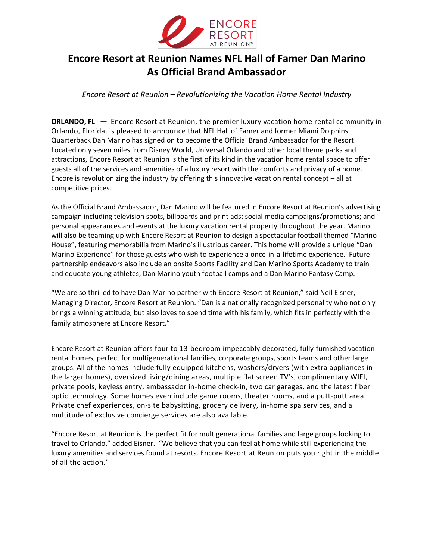

## **Encore Resort at Reunion Names NFL Hall of Famer Dan Marino As Official Brand Ambassador**

*Encore Resort at Reunion – Revolutionizing the Vacation Home Rental Industry*

**ORLANDO, FL** - Encore Resort at Reunion, the premier luxury vacation home rental community in Orlando, Florida, is pleased to announce that NFL Hall of Famer and former Miami Dolphins Quarterback Dan Marino has signed on to become the Official Brand Ambassador for the Resort. Located only seven miles from Disney World, Universal Orlando and other local theme parks and attractions, Encore Resort at Reunion is the first of its kind in the vacation home rental space to offer guests all of the services and amenities of a luxury resort with the comforts and privacy of a home. Encore is revolutionizing the industry by offering this innovative vacation rental concept – all at competitive prices.

As the Official Brand Ambassador, Dan Marino will be featured in Encore Resort at Reunion's advertising campaign including television spots, billboards and print ads; social media campaigns/promotions; and personal appearances and events at the luxury vacation rental property throughout the year. Marino will also be teaming up with Encore Resort at Reunion to design a spectacular football themed "Marino House", featuring memorabilia from Marino's illustrious career. This home will provide a unique "Dan Marino Experience" for those guests who wish to experience a once-in-a-lifetime experience. Future partnership endeavors also include an onsite Sports Facility and Dan Marino Sports Academy to train and educate young athletes; Dan Marino youth football camps and a Dan Marino Fantasy Camp.

"We are so thrilled to have Dan Marino partner with Encore Resort at Reunion," said Neil Eisner, Managing Director, Encore Resort at Reunion. "Dan is a nationally recognized personality who not only brings a winning attitude, but also loves to spend time with his family, which fits in perfectly with the family atmosphere at Encore Resort."

Encore Resort at Reunion offers four to 13-bedroom impeccably decorated, fully-furnished vacation rental homes, perfect for multigenerational families, corporate groups, sports teams and other large groups. All of the homes include fully equipped kitchens, washers/dryers (with extra appliances in the larger homes), oversized living/dining areas, multiple flat screen TV's, complimentary WIFI, private pools, keyless entry, ambassador in-home check-in, two car garages, and the latest fiber optic technology. Some homes even include game rooms, theater rooms, and a putt-putt area. Private chef experiences, on-site babysitting, grocery delivery, in-home spa services, and a multitude of exclusive concierge services are also available.

"Encore Resort at Reunion is the perfect fit for multigenerational families and large groups looking to travel to Orlando," added Eisner. "We believe that you can feel at home while still experiencing the luxury amenities and services found at resorts. Encore Resort at Reunion puts you right in the middle of all the action."